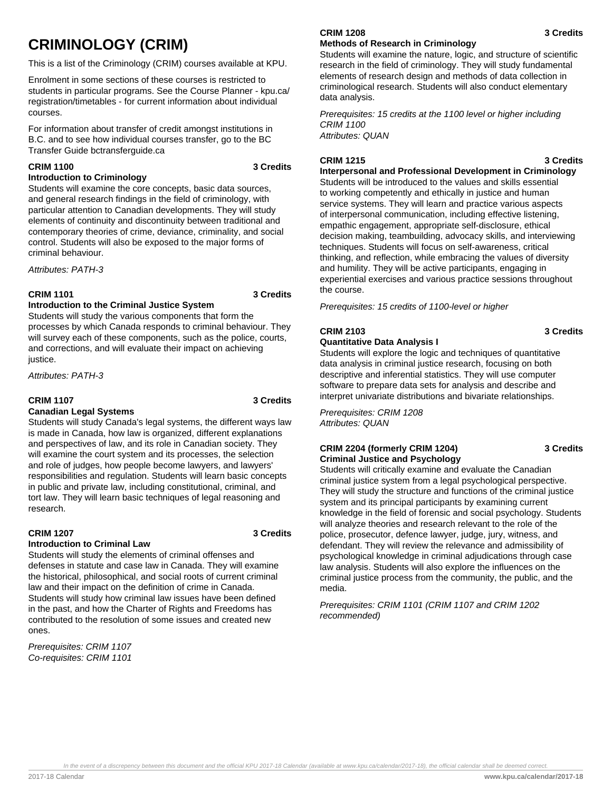# **CRIMINOLOGY (CRIM)**

This is a list of the Criminology (CRIM) courses available at KPU.

Enrolment in some sections of these courses is restricted to students in particular programs. See the Course Planner - kpu.ca/ registration/timetables - for current information about individual courses.

For information about transfer of credit amongst institutions in B.C. and to see how individual courses transfer, go to the BC Transfer Guide bctransferguide.ca

#### **CRIM 1100 3 Credits**

**Introduction to Criminology** Students will examine the core concepts, basic data sources, and general research findings in the field of criminology, with particular attention to Canadian developments. They will study elements of continuity and discontinuity between traditional and contemporary theories of crime, deviance, criminality, and social control. Students will also be exposed to the major forms of criminal behaviour.

Attributes: PATH-3

#### **CRIM 1101 3 Credits**

#### **Introduction to the Criminal Justice System**

Students will study the various components that form the processes by which Canada responds to criminal behaviour. They will survey each of these components, such as the police, courts, and corrections, and will evaluate their impact on achieving justice.

Attributes: PATH-3

#### **CRIM 1107 3 Credits**

#### **Canadian Legal Systems**

Students will study Canada's legal systems, the different ways law is made in Canada, how law is organized, different explanations and perspectives of law, and its role in Canadian society. They will examine the court system and its processes, the selection and role of judges, how people become lawyers, and lawyers' responsibilities and regulation. Students will learn basic concepts in public and private law, including constitutional, criminal, and tort law. They will learn basic techniques of legal reasoning and research.

#### **CRIM 1207 3 Credits**

# **Introduction to Criminal Law**

Students will study the elements of criminal offenses and defenses in statute and case law in Canada. They will examine the historical, philosophical, and social roots of current criminal law and their impact on the definition of crime in Canada. Students will study how criminal law issues have been defined in the past, and how the Charter of Rights and Freedoms has contributed to the resolution of some issues and created new ones.

Prerequisites: CRIM 1107 Co-requisites: CRIM 1101

### **CRIM 1208 3 Credits Methods of Research in Criminology**

Students will examine the nature, logic, and structure of scientific research in the field of criminology. They will study fundamental elements of research design and methods of data collection in criminological research. Students will also conduct elementary data analysis.

Prerequisites: 15 credits at the 1100 level or higher including CRIM 1100 Attributes: QUAN

### **CRIM 1215 3 Credits**

**Interpersonal and Professional Development in Criminology**

Students will be introduced to the values and skills essential to working competently and ethically in justice and human service systems. They will learn and practice various aspects of interpersonal communication, including effective listening, empathic engagement, appropriate self-disclosure, ethical decision making, teambuilding, advocacy skills, and interviewing techniques. Students will focus on self-awareness, critical thinking, and reflection, while embracing the values of diversity and humility. They will be active participants, engaging in experiential exercises and various practice sessions throughout the course.

Prerequisites: 15 credits of 1100-level or higher

# **CRIM 2103 3 Credits**

#### **Quantitative Data Analysis I**

Students will explore the logic and techniques of quantitative data analysis in criminal justice research, focusing on both descriptive and inferential statistics. They will use computer software to prepare data sets for analysis and describe and interpret univariate distributions and bivariate relationships.

Prerequisites: CRIM 1208 Attributes: QUAN

#### **CRIM 2204 (formerly CRIM 1204) 3 Credits Criminal Justice and Psychology**

Students will critically examine and evaluate the Canadian criminal justice system from a legal psychological perspective. They will study the structure and functions of the criminal justice system and its principal participants by examining current knowledge in the field of forensic and social psychology. Students will analyze theories and research relevant to the role of the police, prosecutor, defence lawyer, judge, jury, witness, and defendant. They will review the relevance and admissibility of psychological knowledge in criminal adjudications through case law analysis. Students will also explore the influences on the criminal justice process from the community, the public, and the media.

Prerequisites: CRIM 1101 (CRIM 1107 and CRIM 1202 recommended)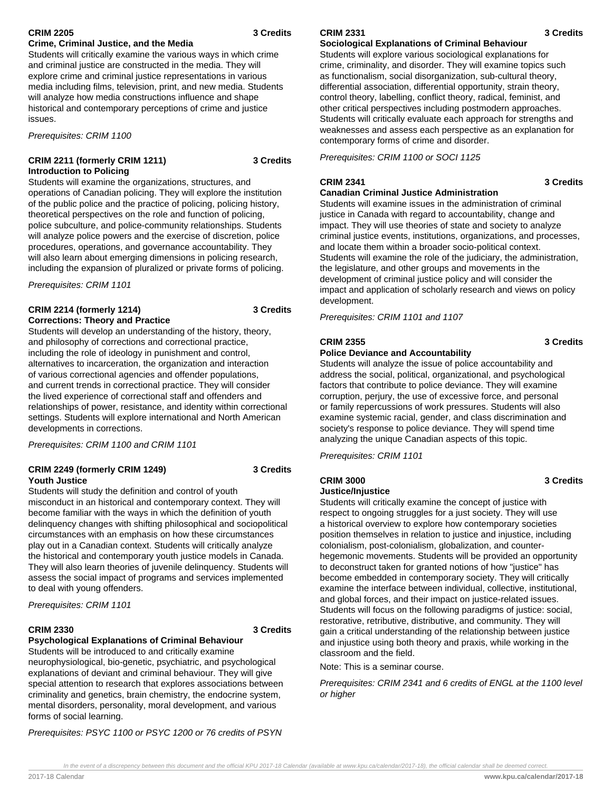# **CRIM 2205 3 Credits**

# **Crime, Criminal Justice, and the Media**

Students will critically examine the various ways in which crime and criminal justice are constructed in the media. They will explore crime and criminal justice representations in various media including films, television, print, and new media. Students will analyze how media constructions influence and shape historical and contemporary perceptions of crime and justice issues.

Prerequisites: CRIM 1100

#### **CRIM 2211 (formerly CRIM 1211) 3 Credits Introduction to Policing**

Students will examine the organizations, structures, and operations of Canadian policing. They will explore the institution of the public police and the practice of policing, policing history, theoretical perspectives on the role and function of policing, police subculture, and police-community relationships. Students will analyze police powers and the exercise of discretion, police procedures, operations, and governance accountability. They will also learn about emerging dimensions in policing research, including the expansion of pluralized or private forms of policing.

Prerequisites: CRIM 1101

#### **CRIM 2214 (formerly 1214) 3 Credits Corrections: Theory and Practice**

Students will develop an understanding of the history, theory, and philosophy of corrections and correctional practice, including the role of ideology in punishment and control, alternatives to incarceration, the organization and interaction of various correctional agencies and offender populations, and current trends in correctional practice. They will consider the lived experience of correctional staff and offenders and relationships of power, resistance, and identity within correctional settings. Students will explore international and North American developments in corrections.

Prerequisites: CRIM 1100 and CRIM 1101

# **CRIM 2249 (formerly CRIM 1249) 3 Credits Youth Justice**

Students will study the definition and control of youth misconduct in an historical and contemporary context. They will become familiar with the ways in which the definition of youth delinquency changes with shifting philosophical and sociopolitical circumstances with an emphasis on how these circumstances play out in a Canadian context. Students will critically analyze the historical and contemporary youth justice models in Canada. They will also learn theories of juvenile delinquency. Students will assess the social impact of programs and services implemented to deal with young offenders.

Prerequisites: CRIM 1101

# **CRIM 2330 3 Credits**

# **Psychological Explanations of Criminal Behaviour**

Students will be introduced to and critically examine neurophysiological, bio-genetic, psychiatric, and psychological explanations of deviant and criminal behaviour. They will give special attention to research that explores associations between criminality and genetics, brain chemistry, the endocrine system, mental disorders, personality, moral development, and various forms of social learning.

Prerequisites: PSYC 1100 or PSYC 1200 or 76 credits of PSYN

# **CRIM 2331 3 Credits**

### **Sociological Explanations of Criminal Behaviour**

Students will explore various sociological explanations for crime, criminality, and disorder. They will examine topics such as functionalism, social disorganization, sub-cultural theory, differential association, differential opportunity, strain theory, control theory, labelling, conflict theory, radical, feminist, and other critical perspectives including postmodern approaches. Students will critically evaluate each approach for strengths and weaknesses and assess each perspective as an explanation for contemporary forms of crime and disorder.

Prerequisites: CRIM 1100 or SOCI 1125

# **Canadian Criminal Justice Administration**

Students will examine issues in the administration of criminal justice in Canada with regard to accountability, change and impact. They will use theories of state and society to analyze criminal justice events, institutions, organizations, and processes, and locate them within a broader socio-political context. Students will examine the role of the judiciary, the administration, the legislature, and other groups and movements in the development of criminal justice policy and will consider the impact and application of scholarly research and views on policy development.

Prerequisites: CRIM 1101 and 1107

### **CRIM 2355 3 Credits**

### **Police Deviance and Accountability**

Students will analyze the issue of police accountability and address the social, political, organizational, and psychological factors that contribute to police deviance. They will examine corruption, perjury, the use of excessive force, and personal or family repercussions of work pressures. Students will also examine systemic racial, gender, and class discrimination and society's response to police deviance. They will spend time analyzing the unique Canadian aspects of this topic.

Prerequisites: CRIM 1101

# **CRIM 3000 3 Credits**

### **Justice/Injustice**

Students will critically examine the concept of justice with respect to ongoing struggles for a just society. They will use a historical overview to explore how contemporary societies position themselves in relation to justice and injustice, including colonialism, post-colonialism, globalization, and counterhegemonic movements. Students will be provided an opportunity to deconstruct taken for granted notions of how "justice" has become embedded in contemporary society. They will critically examine the interface between individual, collective, institutional, and global forces, and their impact on justice-related issues. Students will focus on the following paradigms of justice: social, restorative, retributive, distributive, and community. They will gain a critical understanding of the relationship between justice and injustice using both theory and praxis, while working in the classroom and the field.

Note: This is a seminar course.

Prerequisites: CRIM 2341 and 6 credits of ENGL at the 1100 level or higher

In the event of a discrepency between this document and the official KPU 2017-18 Calendar (available at www.kpu.ca/calendar/2017-18), the official calendar shall be deemed correct.

# **CRIM 2341 3 Credits**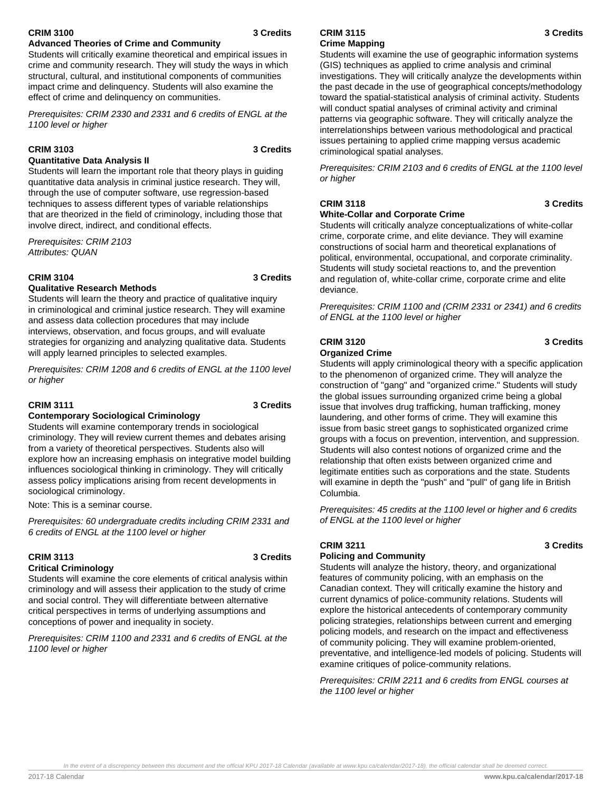#### **CRIM 3100 3 Credits Advanced Theories of Crime and Community**

Students will critically examine theoretical and empirical issues in crime and community research. They will study the ways in which structural, cultural, and institutional components of communities impact crime and delinquency. Students will also examine the effect of crime and delinquency on communities.

Prerequisites: CRIM 2330 and 2331 and 6 credits of ENGL at the 1100 level or higher

#### **CRIM 3103 3 Credits**

#### **Quantitative Data Analysis II**

Students will learn the important role that theory plays in guiding quantitative data analysis in criminal justice research. They will, through the use of computer software, use regression-based techniques to assess different types of variable relationships that are theorized in the field of criminology, including those that involve direct, indirect, and conditional effects.

Prerequisites: CRIM 2103 Attributes: QUAN

#### **CRIM 3104 3 Credits**

#### **Qualitative Research Methods**

Students will learn the theory and practice of qualitative inquiry in criminological and criminal justice research. They will examine and assess data collection procedures that may include interviews, observation, and focus groups, and will evaluate strategies for organizing and analyzing qualitative data. Students will apply learned principles to selected examples.

Prerequisites: CRIM 1208 and 6 credits of ENGL at the 1100 level or higher

#### **CRIM 3111 3 Credits**

# **Contemporary Sociological Criminology**

Students will examine contemporary trends in sociological criminology. They will review current themes and debates arising from a variety of theoretical perspectives. Students also will explore how an increasing emphasis on integrative model building influences sociological thinking in criminology. They will critically assess policy implications arising from recent developments in sociological criminology.

Note: This is a seminar course.

Prerequisites: 60 undergraduate credits including CRIM 2331 and 6 credits of ENGL at the 1100 level or higher

# **CRIM 3113 3 Credits**

### **Critical Criminology**

Students will examine the core elements of critical analysis within criminology and will assess their application to the study of crime and social control. They will differentiate between alternative critical perspectives in terms of underlying assumptions and conceptions of power and inequality in society.

Prerequisites: CRIM 1100 and 2331 and 6 credits of ENGL at the 1100 level or higher

#### **CRIM 3115 3 Credits Crime Mapping**

Students will examine the use of geographic information systems (GIS) techniques as applied to crime analysis and criminal investigations. They will critically analyze the developments within the past decade in the use of geographical concepts/methodology toward the spatial-statistical analysis of criminal activity. Students will conduct spatial analyses of criminal activity and criminal patterns via geographic software. They will critically analyze the interrelationships between various methodological and practical issues pertaining to applied crime mapping versus academic criminological spatial analyses.

Prerequisites: CRIM 2103 and 6 credits of ENGL at the 1100 level or higher

## **CRIM 3118 3 Credits**

#### **White-Collar and Corporate Crime**

Students will critically analyze conceptualizations of white-collar crime, corporate crime, and elite deviance. They will examine constructions of social harm and theoretical explanations of political, environmental, occupational, and corporate criminality. Students will study societal reactions to, and the prevention and regulation of, white-collar crime, corporate crime and elite deviance.

Prerequisites: CRIM 1100 and (CRIM 2331 or 2341) and 6 credits of ENGL at the 1100 level or higher

# **CRIM 3120 3 Credits**

# **Organized Crime**

Students will apply criminological theory with a specific application to the phenomenon of organized crime. They will analyze the construction of "gang" and "organized crime." Students will study the global issues surrounding organized crime being a global issue that involves drug trafficking, human trafficking, money laundering, and other forms of crime. They will examine this issue from basic street gangs to sophisticated organized crime groups with a focus on prevention, intervention, and suppression. Students will also contest notions of organized crime and the relationship that often exists between organized crime and legitimate entities such as corporations and the state. Students will examine in depth the "push" and "pull" of gang life in British Columbia.

Prerequisites: 45 credits at the 1100 level or higher and 6 credits of ENGL at the 1100 level or higher

# **CRIM 3211 3 Credits**

#### **Policing and Community**

Students will analyze the history, theory, and organizational features of community policing, with an emphasis on the Canadian context. They will critically examine the history and current dynamics of police-community relations. Students will explore the historical antecedents of contemporary community policing strategies, relationships between current and emerging policing models, and research on the impact and effectiveness of community policing. They will examine problem-oriented, preventative, and intelligence-led models of policing. Students will examine critiques of police-community relations.

Prerequisites: CRIM 2211 and 6 credits from ENGL courses at the 1100 level or higher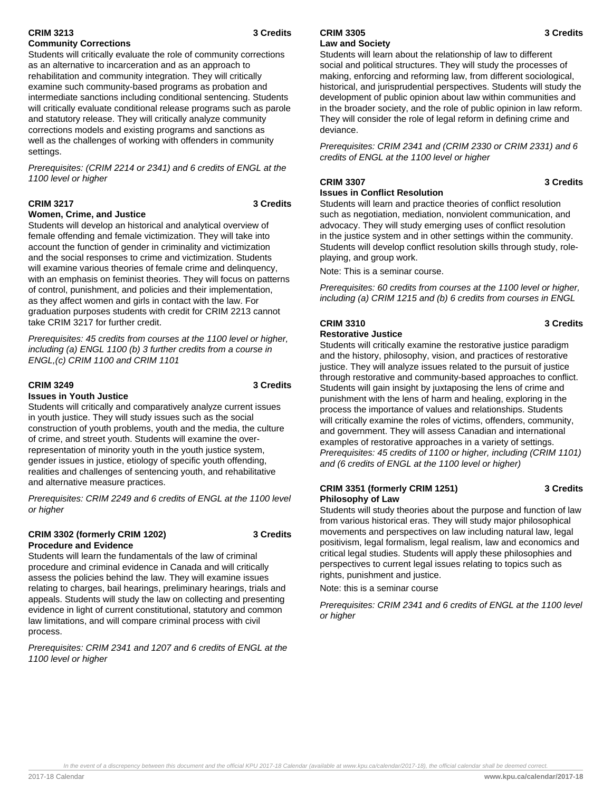#### **CRIM 3213 3 Credits Community Corrections**

# **Law and Society**

Students will critically evaluate the role of community corrections as an alternative to incarceration and as an approach to rehabilitation and community integration. They will critically examine such community-based programs as probation and intermediate sanctions including conditional sentencing. Students will critically evaluate conditional release programs such as parole and statutory release. They will critically analyze community corrections models and existing programs and sanctions as well as the challenges of working with offenders in community Students will learn about the relationship of law to different social and political structures. They will study the processes of making, enforcing and reforming law, from different sociological, historical, and jurisprudential perspectives. Students will study the development of public opinion about law within communities and in the broader society, and the role of public opinion in law reform. They will consider the role of legal reform in defining crime and deviance.

Prerequisites: CRIM 2341 and (CRIM 2330 or CRIM 2331) and 6 credits of ENGL at the 1100 level or higher

### **CRIM 3307 3 Credits**

#### **Issues in Conflict Resolution**

Students will learn and practice theories of conflict resolution such as negotiation, mediation, nonviolent communication, and advocacy. They will study emerging uses of conflict resolution in the justice system and in other settings within the community. Students will develop conflict resolution skills through study, roleplaying, and group work.

Note: This is a seminar course.

Prerequisites: 60 credits from courses at the 1100 level or higher, including (a) CRIM 1215 and (b) 6 credits from courses in ENGL

# **CRIM 3310 3 Credits**

# **Restorative Justice**

Students will critically examine the restorative justice paradigm and the history, philosophy, vision, and practices of restorative justice. They will analyze issues related to the pursuit of justice through restorative and community-based approaches to conflict. Students will gain insight by juxtaposing the lens of crime and punishment with the lens of harm and healing, exploring in the process the importance of values and relationships. Students will critically examine the roles of victims, offenders, community, and government. They will assess Canadian and international examples of restorative approaches in a variety of settings. Prerequisites: 45 credits of 1100 or higher, including (CRIM 1101) and (6 credits of ENGL at the 1100 level or higher)

**CRIM 3351 (formerly CRIM 1251) 3 Credits Philosophy of Law**

Students will study theories about the purpose and function of law from various historical eras. They will study major philosophical movements and perspectives on law including natural law, legal positivism, legal formalism, legal realism, law and economics and critical legal studies. Students will apply these philosophies and perspectives to current legal issues relating to topics such as rights, punishment and justice.

Note: this is a seminar course

Prerequisites: CRIM 2341 and 6 credits of ENGL at the 1100 level or higher

**CRIM 3217 3 Credits Women, Crime, and Justice**

1100 level or higher

#### Students will develop an historical and analytical overview of female offending and female victimization. They will take into account the function of gender in criminality and victimization and the social responses to crime and victimization. Students will examine various theories of female crime and delinquency, with an emphasis on feminist theories. They will focus on patterns of control, punishment, and policies and their implementation,

Prerequisites: (CRIM 2214 or 2341) and 6 credits of ENGL at the

as they affect women and girls in contact with the law. For graduation purposes students with credit for CRIM 2213 cannot take CRIM 3217 for further credit.

Prerequisites: 45 credits from courses at the 1100 level or higher, including (a) ENGL 1100 (b) 3 further credits from a course in ENGL,(c) CRIM 1100 and CRIM 1101

### **CRIM 3249 3 Credits**

settings.

**Issues in Youth Justice** Students will critically and comparatively analyze current issues in youth justice. They will study issues such as the social construction of youth problems, youth and the media, the culture of crime, and street youth. Students will examine the overrepresentation of minority youth in the youth justice system, gender issues in justice, etiology of specific youth offending, realities and challenges of sentencing youth, and rehabilitative and alternative measure practices.

Prerequisites: CRIM 2249 and 6 credits of ENGL at the 1100 level or higher

#### **CRIM 3302 (formerly CRIM 1202) 3 Credits Procedure and Evidence**

Students will learn the fundamentals of the law of criminal procedure and criminal evidence in Canada and will critically assess the policies behind the law. They will examine issues relating to charges, bail hearings, preliminary hearings, trials and appeals. Students will study the law on collecting and presenting evidence in light of current constitutional, statutory and common law limitations, and will compare criminal process with civil process.

Prerequisites: CRIM 2341 and 1207 and 6 credits of ENGL at the 1100 level or higher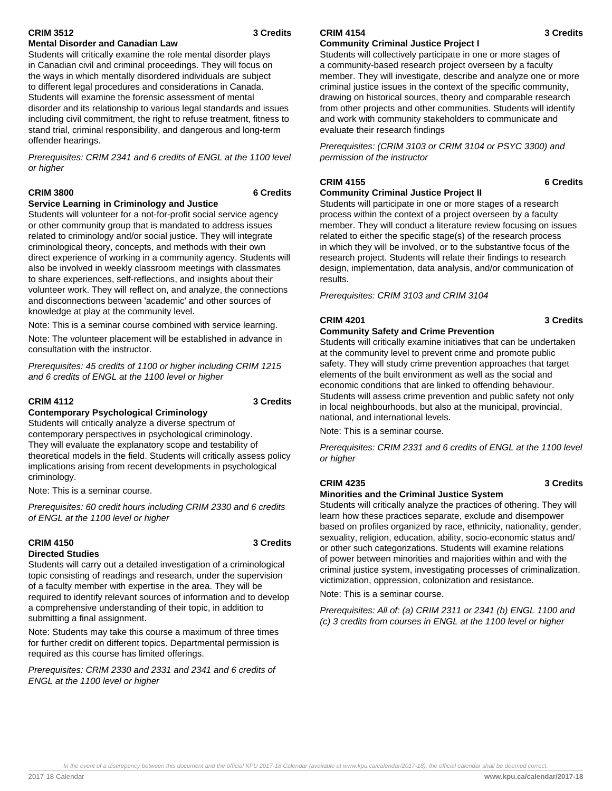#### **CRIM 3512 3 Credits Mental Disorder and Canadian Law**

Students will critically examine the role mental disorder plays in Canadian civil and criminal proceedings. They will focus on the ways in which mentally disordered individuals are subject to different legal procedures and considerations in Canada. Students will examine the forensic assessment of mental disorder and its relationship to various legal standards and issues including civil commitment, the right to refuse treatment, fitness to stand trial, criminal responsibility, and dangerous and long-term offender hearings.

Prerequisites: CRIM 2341 and 6 credits of ENGL at the 1100 level or higher

#### **CRIM 3800 6 Credits**

# **Service Learning in Criminology and Justice**

Students will volunteer for a not-for-profit social service agency or other community group that is mandated to address issues related to criminology and/or social justice. They will integrate criminological theory, concepts, and methods with their own direct experience of working in a community agency. Students will also be involved in weekly classroom meetings with classmates to share experiences, self-reflections, and insights about their volunteer work. They will reflect on, and analyze, the connections and disconnections between 'academic' and other sources of knowledge at play at the community level.

Note: This is a seminar course combined with service learning.

Note: The volunteer placement will be established in advance in consultation with the instructor.

Prerequisites: 45 credits of 1100 or higher including CRIM 1215 and 6 credits of ENGL at the 1100 level or higher

#### **CRIM 4112 3 Credits**

#### **Contemporary Psychological Criminology**

Students will critically analyze a diverse spectrum of contemporary perspectives in psychological criminology. They will evaluate the explanatory scope and testability of theoretical models in the field. Students will critically assess policy implications arising from recent developments in psychological criminology.

Note: This is a seminar course.

Prerequisites: 60 credit hours including CRIM 2330 and 6 credits of ENGL at the 1100 level or higher

#### **CRIM 4150 3 Credits Directed Studies**

Students will carry out a detailed investigation of a criminological topic consisting of readings and research, under the supervision of a faculty member with expertise in the area. They will be required to identify relevant sources of information and to develop a comprehensive understanding of their topic, in addition to submitting a final assignment.

Note: Students may take this course a maximum of three times for further credit on different topics. Departmental permission is required as this course has limited offerings.

Prerequisites: CRIM 2330 and 2331 and 2341 and 6 credits of ENGL at the 1100 level or higher

### **Community Criminal Justice Project I**

Students will collectively participate in one or more stages of a community-based research project overseen by a faculty member. They will investigate, describe and analyze one or more criminal justice issues in the context of the specific community, drawing on historical sources, theory and comparable research from other projects and other communities. Students will identify and work with community stakeholders to communicate and evaluate their research findings

Prerequisites: (CRIM 3103 or CRIM 3104 or PSYC 3300) and permission of the instructor

#### **CRIM 4155 6 Credits**

#### **Community Criminal Justice Project II**

Students will participate in one or more stages of a research process within the context of a project overseen by a faculty member. They will conduct a literature review focusing on issues related to either the specific stage(s) of the research process in which they will be involved, or to the substantive focus of the research project. Students will relate their findings to research design, implementation, data analysis, and/or communication of results.

Prerequisites: CRIM 3103 and CRIM 3104

#### **CRIM 4201 3 Credits**

#### **Community Safety and Crime Prevention**

Students will critically examine initiatives that can be undertaken at the community level to prevent crime and promote public safety. They will study crime prevention approaches that target elements of the built environment as well as the social and economic conditions that are linked to offending behaviour. Students will assess crime prevention and public safety not only in local neighbourhoods, but also at the municipal, provincial, national, and international levels.

Note: This is a seminar course.

Prerequisites: CRIM 2331 and 6 credits of ENGL at the 1100 level or higher

#### **CRIM 4235 3 Credits**

# **Minorities and the Criminal Justice System**

Students will critically analyze the practices of othering. They will learn how these practices separate, exclude and disempower based on profiles organized by race, ethnicity, nationality, gender, sexuality, religion, education, ability, socio-economic status and/ or other such categorizations. Students will examine relations of power between minorities and majorities within and with the criminal justice system, investigating processes of criminalization, victimization, oppression, colonization and resistance.

Note: This is a seminar course.

Prerequisites: All of: (a) CRIM 2311 or 2341 (b) ENGL 1100 and (c) 3 credits from courses in ENGL at the 1100 level or higher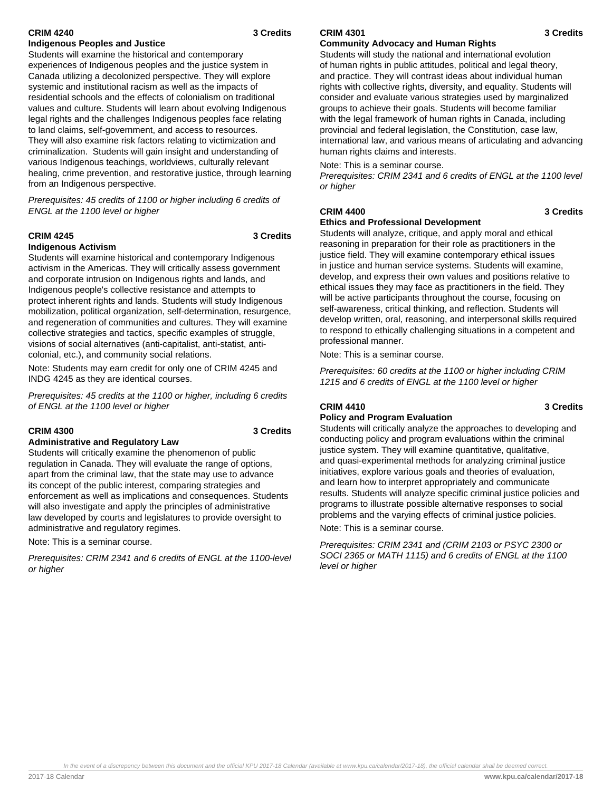# **CRIM 4240 3 Credits**

# **Indigenous Peoples and Justice**

Students will examine the historical and contemporary experiences of Indigenous peoples and the justice system in Canada utilizing a decolonized perspective. They will explore systemic and institutional racism as well as the impacts of residential schools and the effects of colonialism on traditional values and culture. Students will learn about evolving Indigenous legal rights and the challenges Indigenous peoples face relating to land claims, self-government, and access to resources. They will also examine risk factors relating to victimization and criminalization. Students will gain insight and understanding of various Indigenous teachings, worldviews, culturally relevant healing, crime prevention, and restorative justice, through learning from an Indigenous perspective.

Prerequisites: 45 credits of 1100 or higher including 6 credits of ENGL at the 1100 level or higher

## **CRIM 4245 3 Credits**

### **Indigenous Activism**

Students will examine historical and contemporary Indigenous activism in the Americas. They will critically assess government and corporate intrusion on Indigenous rights and lands, and Indigenous people's collective resistance and attempts to protect inherent rights and lands. Students will study Indigenous mobilization, political organization, self-determination, resurgence, and regeneration of communities and cultures. They will examine collective strategies and tactics, specific examples of struggle, visions of social alternatives (anti-capitalist, anti-statist, anticolonial, etc.), and community social relations.

Note: Students may earn credit for only one of CRIM 4245 and INDG 4245 as they are identical courses.

Prerequisites: 45 credits at the 1100 or higher, including 6 credits of ENGL at the 1100 level or higher

### **CRIM 4300 3 Credits**

Students will critically examine the phenomenon of public regulation in Canada. They will evaluate the range of options, apart from the criminal law, that the state may use to advance its concept of the public interest, comparing strategies and enforcement as well as implications and consequences. Students will also investigate and apply the principles of administrative law developed by courts and legislatures to provide oversight to administrative and regulatory regimes.

Note: This is a seminar course.

**Administrative and Regulatory Law**

Prerequisites: CRIM 2341 and 6 credits of ENGL at the 1100-level or higher

# **CRIM 4301 3 Credits**

### **Community Advocacy and Human Rights**

Students will study the national and international evolution of human rights in public attitudes, political and legal theory, and practice. They will contrast ideas about individual human rights with collective rights, diversity, and equality. Students will consider and evaluate various strategies used by marginalized groups to achieve their goals. Students will become familiar with the legal framework of human rights in Canada, including provincial and federal legislation, the Constitution, case law, international law, and various means of articulating and advancing human rights claims and interests.

#### Note: This is a seminar course.

Prerequisites: CRIM 2341 and 6 credits of ENGL at the 1100 level or higher

#### **CRIM 4400 3 Credits**

#### **Ethics and Professional Development**

Students will analyze, critique, and apply moral and ethical reasoning in preparation for their role as practitioners in the justice field. They will examine contemporary ethical issues in justice and human service systems. Students will examine, develop, and express their own values and positions relative to ethical issues they may face as practitioners in the field. They will be active participants throughout the course, focusing on self-awareness, critical thinking, and reflection. Students will develop written, oral, reasoning, and interpersonal skills required to respond to ethically challenging situations in a competent and professional manner.

Note: This is a seminar course.

Prerequisites: 60 credits at the 1100 or higher including CRIM 1215 and 6 credits of ENGL at the 1100 level or higher

### **CRIM 4410 3 Credits**

#### **Policy and Program Evaluation**

Students will critically analyze the approaches to developing and conducting policy and program evaluations within the criminal justice system. They will examine quantitative, qualitative, and quasi-experimental methods for analyzing criminal justice initiatives, explore various goals and theories of evaluation, and learn how to interpret appropriately and communicate results. Students will analyze specific criminal justice policies and programs to illustrate possible alternative responses to social problems and the varying effects of criminal justice policies.

Note: This is a seminar course.

Prerequisites: CRIM 2341 and (CRIM 2103 or PSYC 2300 or SOCI 2365 or MATH 1115) and 6 credits of ENGL at the 1100 level or higher